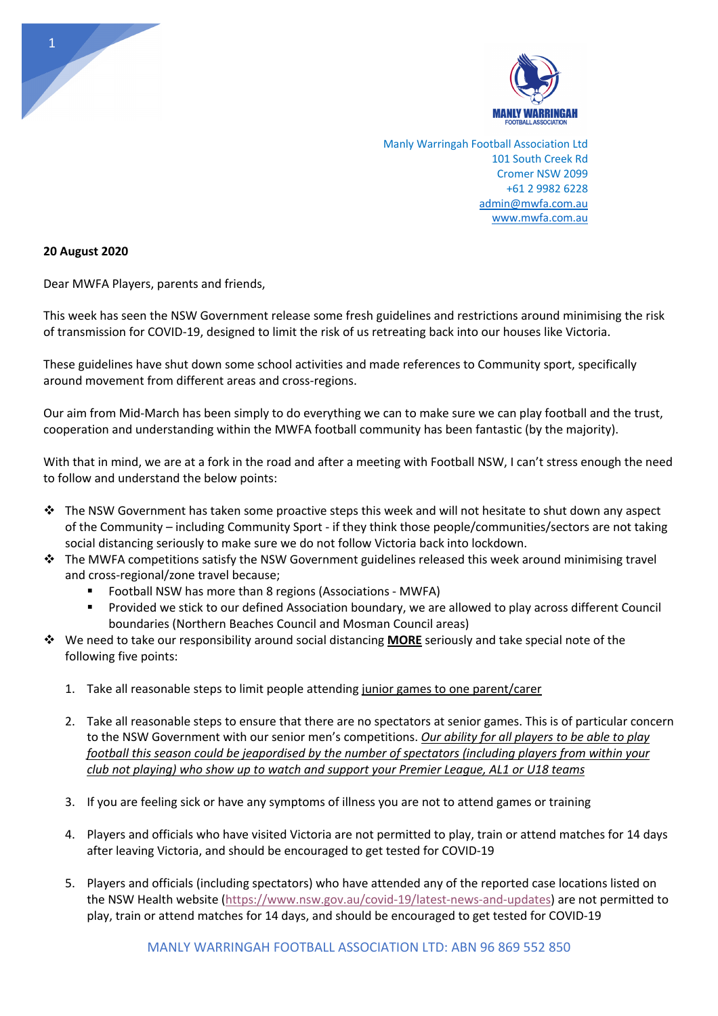

Manly Warringah Football Association Ltd 101 South Creek Rd Cromer NSW 2099 +61 2 9982 6228 admin@mwfa.com.au www.mwfa.com.au

## **20 August 2020**

Dear MWFA Players, parents and friends,

This week has seen the NSW Government release some fresh guidelines and restrictions around minimising the risk of transmission for COVID-19, designed to limit the risk of us retreating back into our houses like Victoria.

These guidelines have shut down some school activities and made references to Community sport, specifically around movement from different areas and cross-regions.

Our aim from Mid-March has been simply to do everything we can to make sure we can play football and the trust, cooperation and understanding within the MWFA football community has been fantastic (by the majority).

With that in mind, we are at a fork in the road and after a meeting with Football NSW, I can't stress enough the need to follow and understand the below points:

- $\cdot \cdot$  The NSW Government has taken some proactive steps this week and will not hesitate to shut down any aspect of the Community – including Community Sport - if they think those people/communities/sectors are not taking social distancing seriously to make sure we do not follow Victoria back into lockdown.
- $\cdot \cdot$  The MWFA competitions satisfy the NSW Government guidelines released this week around minimising travel and cross-regional/zone travel because;
	- Football NSW has more than 8 regions (Associations MWFA)
	- Provided we stick to our defined Association boundary, we are allowed to play across different Council boundaries (Northern Beaches Council and Mosman Council areas)
- v We need to take our responsibility around social distancing **MORE** seriously and take special note of the following five points:
	- 1. Take all reasonable steps to limit people attending junior games to one parent/carer
	- 2. Take all reasonable steps to ensure that there are no spectators at senior games. This is of particular concern to the NSW Government with our senior men's competitions. *Our ability for all players to be able to play football this season could be jeapordised by the number of spectators (including players from within your club not playing) who show up to watch and support your Premier League, AL1 or U18 teams*
	- 3. If you are feeling sick or have any symptoms of illness you are not to attend games or training
	- 4. Players and officials who have visited Victoria are not permitted to play, train or attend matches for 14 days after leaving Victoria, and should be encouraged to get tested for COVID-19
	- 5. Players and officials (including spectators) who have attended any of the reported case locations listed on the NSW Health website (https://www.nsw.gov.au/covid-19/latest-news-and-updates) are not permitted to play, train or attend matches for 14 days, and should be encouraged to get tested for COVID-19

1